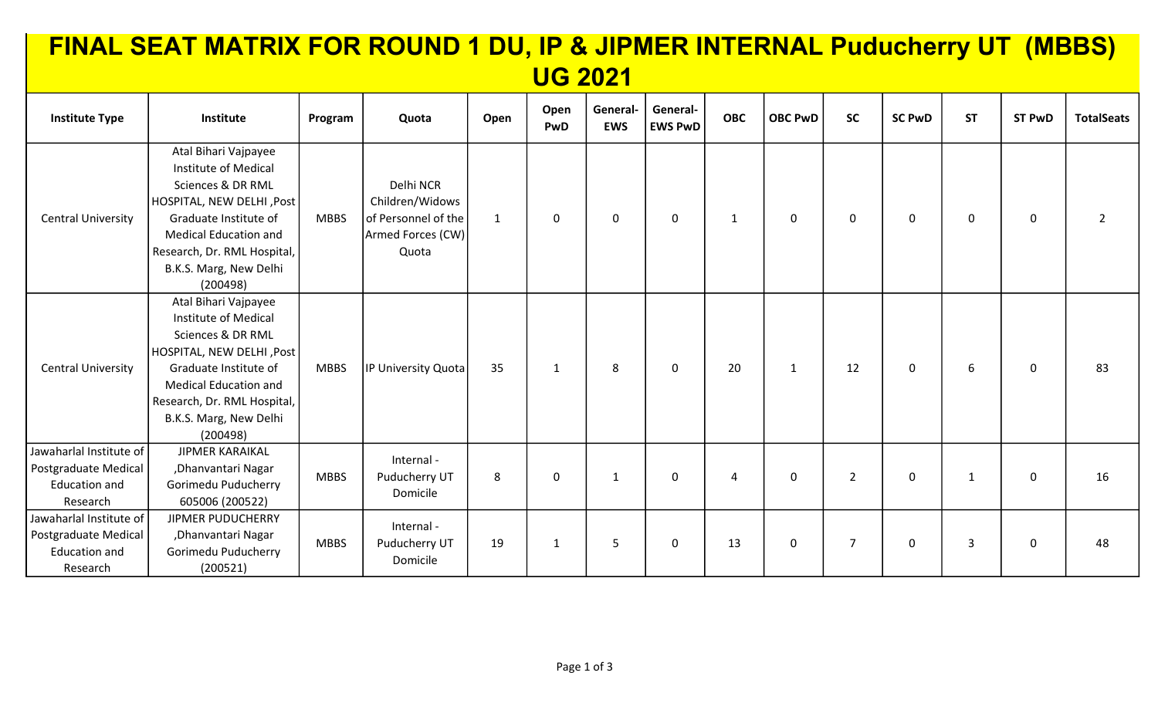| FINAL SEAT MATRIX FOR ROUND 1 DU, IP & JIPMER INTERNAL Puducherry UT (MBBS)         |                                                                                                                                                                                                                              |             |                                                                                   |              |              |                        |                            |              |                |                |               |                |                |                   |
|-------------------------------------------------------------------------------------|------------------------------------------------------------------------------------------------------------------------------------------------------------------------------------------------------------------------------|-------------|-----------------------------------------------------------------------------------|--------------|--------------|------------------------|----------------------------|--------------|----------------|----------------|---------------|----------------|----------------|-------------------|
| <b>UG 2021</b>                                                                      |                                                                                                                                                                                                                              |             |                                                                                   |              |              |                        |                            |              |                |                |               |                |                |                   |
| <b>Institute Type</b>                                                               | Institute                                                                                                                                                                                                                    | Program     | Quota                                                                             | Open         | Open<br>PwD  | General-<br><b>EWS</b> | General-<br><b>EWS PwD</b> | <b>OBC</b>   | <b>OBC PwD</b> | <b>SC</b>      | <b>SC PwD</b> | <b>ST</b>      | <b>ST PwD</b>  | <b>TotalSeats</b> |
| <b>Central University</b>                                                           | Atal Bihari Vajpayee<br>Institute of Medical<br>Sciences & DR RML<br>HOSPITAL, NEW DELHI, Post<br>Graduate Institute of<br><b>Medical Education and</b><br>Research, Dr. RML Hospital,<br>B.K.S. Marg, New Delhi<br>(200498) | <b>MBBS</b> | Delhi NCR<br>Children/Widows<br>of Personnel of the<br>Armed Forces (CW)<br>Quota | $\mathbf{1}$ | $\mathbf{0}$ | $\mathbf 0$            | $\mathbf 0$                | $\mathbf{1}$ | 0              | 0              | 0             | $\mathbf 0$    | $\overline{0}$ | $\mathcal{P}$     |
| <b>Central University</b>                                                           | Atal Bihari Vajpayee<br>Institute of Medical<br>Sciences & DR RML<br>HOSPITAL, NEW DELHI, Post<br>Graduate Institute of<br><b>Medical Education and</b><br>Research, Dr. RML Hospital,<br>B.K.S. Marg, New Delhi<br>(200498) | <b>MBBS</b> | IP University Quota                                                               | 35           | 1            | 8                      | $\mathbf 0$                | 20           | 1              | 12             | 0             | 6              | $\mathbf 0$    | 83                |
| Jawaharlal Institute of<br>Postgraduate Medical<br>Education and<br>Research        | <b>JIPMER KARAIKAL</b><br>, Dhanvantari Nagar<br>Gorimedu Puducherry<br>605006 (200522)                                                                                                                                      | <b>MBBS</b> | Internal -<br>Puducherry UT<br>Domicile                                           | 8            | 0            | $\mathbf{1}$           | $\mathbf 0$                | 4            | $\mathbf 0$    | $\overline{2}$ | 0             | $\mathbf{1}$   | $\mathbf 0$    | 16                |
| Jawaharlal Institute of<br>Postgraduate Medical<br><b>Education and</b><br>Research | JIPMER PUDUCHERRY<br>, Dhanvantari Nagar<br>Gorimedu Puducherry<br>(200521)                                                                                                                                                  | <b>MBBS</b> | Internal -<br>Puducherry UT<br>Domicile                                           | 19           | $\mathbf{1}$ | 5                      | $\mathbf 0$                | 13           | 0              | $\overline{7}$ | 0             | $\overline{3}$ | $\mathbf 0$    | 48                |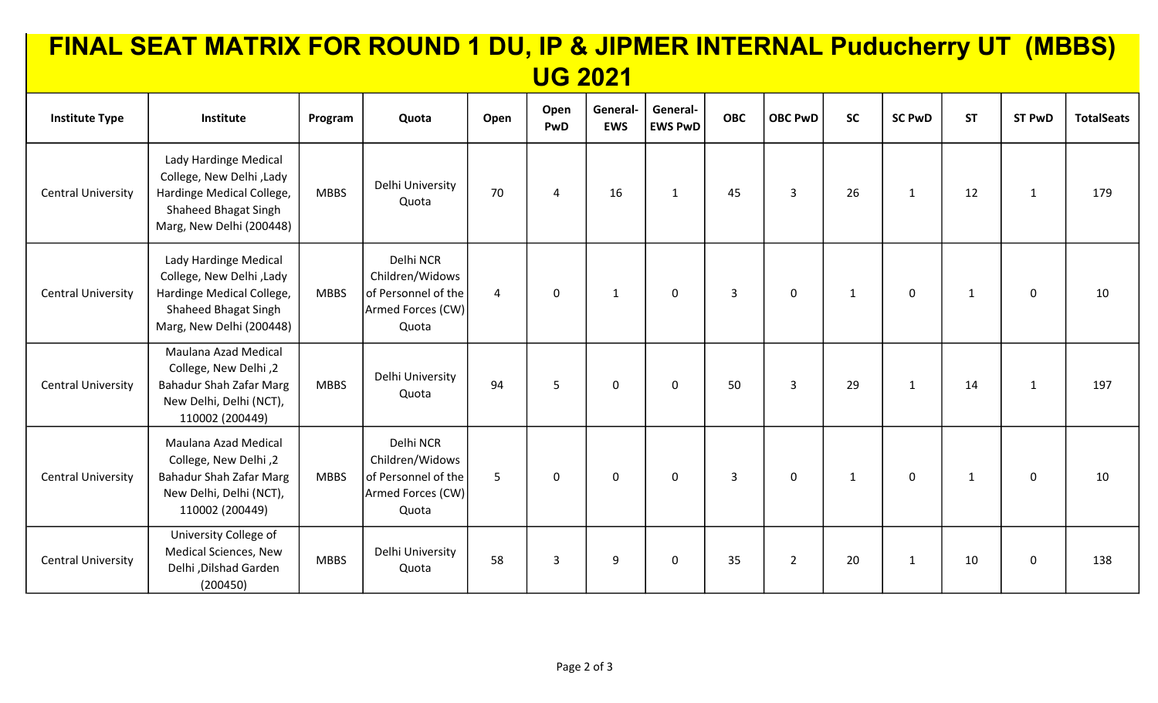|                           | FINAL SEAT MATRIX FOR ROUND 1 DU, IP & JIPMER INTERNAL Puducherry UT (MBBS)                                                        |             |                                                                                   |                |                |                        |                            |            |                |              |               |              |                |                   |
|---------------------------|------------------------------------------------------------------------------------------------------------------------------------|-------------|-----------------------------------------------------------------------------------|----------------|----------------|------------------------|----------------------------|------------|----------------|--------------|---------------|--------------|----------------|-------------------|
| <b>UG 2021</b>            |                                                                                                                                    |             |                                                                                   |                |                |                        |                            |            |                |              |               |              |                |                   |
| <b>Institute Type</b>     | Institute                                                                                                                          | Program     | Quota                                                                             | Open           | Open<br>PwD    | General-<br><b>EWS</b> | General-<br><b>EWS PwD</b> | <b>OBC</b> | <b>OBC PwD</b> | <b>SC</b>    | <b>SC PwD</b> | <b>ST</b>    | <b>ST PwD</b>  | <b>TotalSeats</b> |
| <b>Central University</b> | Lady Hardinge Medical<br>College, New Delhi, Lady<br>Hardinge Medical College,<br>Shaheed Bhagat Singh<br>Marg, New Delhi (200448) | <b>MBBS</b> | Delhi University<br>Quota                                                         | 70             | $\overline{4}$ | 16                     | $\mathbf{1}$               | 45         | 3              | 26           | $\mathbf{1}$  | 12           | $\mathbf{1}$   | 179               |
| <b>Central University</b> | Lady Hardinge Medical<br>College, New Delhi, Lady<br>Hardinge Medical College,<br>Shaheed Bhagat Singh<br>Marg, New Delhi (200448) | <b>MBBS</b> | Delhi NCR<br>Children/Widows<br>of Personnel of the<br>Armed Forces (CW)<br>Quota | $\overline{4}$ | $\mathbf 0$    | $\mathbf{1}$           | $\mathbf 0$                | 3          | $\mathbf 0$    | $\mathbf{1}$ | $\mathbf 0$   | $\mathbf{1}$ | $\mathbf 0$    | 10                |
| <b>Central University</b> | Maulana Azad Medical<br>College, New Delhi, 2<br><b>Bahadur Shah Zafar Marg</b><br>New Delhi, Delhi (NCT),<br>110002 (200449)      | <b>MBBS</b> | Delhi University<br>Quota                                                         | 94             | 5              | $\mathbf 0$            | $\mathbf 0$                | 50         | 3              | 29           | $\mathbf{1}$  | 14           | $\mathbf{1}$   | 197               |
| <b>Central University</b> | Maulana Azad Medical<br>College, New Delhi, 2<br><b>Bahadur Shah Zafar Marg</b><br>New Delhi, Delhi (NCT),<br>110002 (200449)      | <b>MBBS</b> | Delhi NCR<br>Children/Widows<br>of Personnel of the<br>Armed Forces (CW)<br>Quota | 5              | $\mathbf 0$    | $\mathbf 0$            | $\mathbf 0$                | 3          | $\mathbf 0$    | $\mathbf{1}$ | $\mathbf 0$   | $\mathbf{1}$ | $\overline{0}$ | 10                |
| <b>Central University</b> | University College of<br><b>Medical Sciences, New</b><br>Delhi , Dilshad Garden<br>(200450)                                        | <b>MBBS</b> | Delhi University<br>Quota                                                         | 58             | 3              | 9                      | $\mathbf 0$                | 35         | $\overline{2}$ | 20           | $\mathbf{1}$  | 10           | $\mathbf 0$    | 138               |